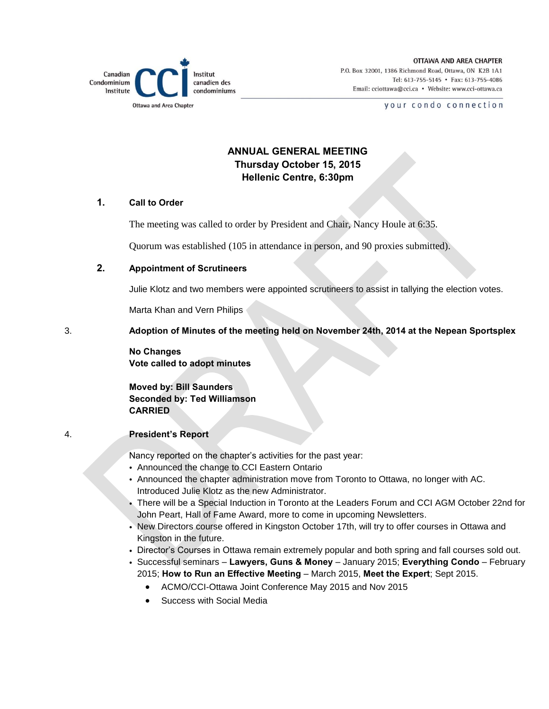

**OTTAWA AND AREA CHAPTER** P.O. Box 32001, 1386 Richmond Road, Ottawa, ON K2B 1A1 Tel: 613-755-5145 • Fax: 613-755-4086 Email: cciottawa@cci.ca • Website: www.cci-ottawa.ca

your condo connection

# **ANNUAL GENERAL MEETING Thursday October 15, 2015 Hellenic Centre, 6:30pm**

## **1. Call to Order**

The meeting was called to order by President and Chair, Nancy Houle at 6:35.

Quorum was established (105 in attendance in person, and 90 proxies submitted).

## **2. Appointment of Scrutineers**

Julie Klotz and two members were appointed scrutineers to assist in tallying the election votes.

Marta Khan and Vern Philips

3. **Adoption of Minutes of the meeting held on November 24th, 2014 at the Nepean Sportsplex**

## **No Changes Vote called to adopt minutes**

**Moved by: Bill Saunders Seconded by: Ted Williamson CARRIED**

## 4. **President's Report**

Nancy reported on the chapter's activities for the past year:

- Announced the change to CCI Eastern Ontario
- Announced the chapter administration move from Toronto to Ottawa, no longer with AC. Introduced Julie Klotz as the new Administrator.
- There will be a Special Induction in Toronto at the Leaders Forum and CCI AGM October 22nd for John Peart, Hall of Fame Award, more to come in upcoming Newsletters.
- New Directors course offered in Kingston October 17th, will try to offer courses in Ottawa and Kingston in the future.
- Director's Courses in Ottawa remain extremely popular and both spring and fall courses sold out.
- Successful seminars **Lawyers, Guns & Money** January 2015; **Everything Condo** February 2015; **How to Run an Effective Meeting** – March 2015, **Meet the Expert**; Sept 2015.
	- ACMO/CCI-Ottawa Joint Conference May 2015 and Nov 2015
	- Success with Social Media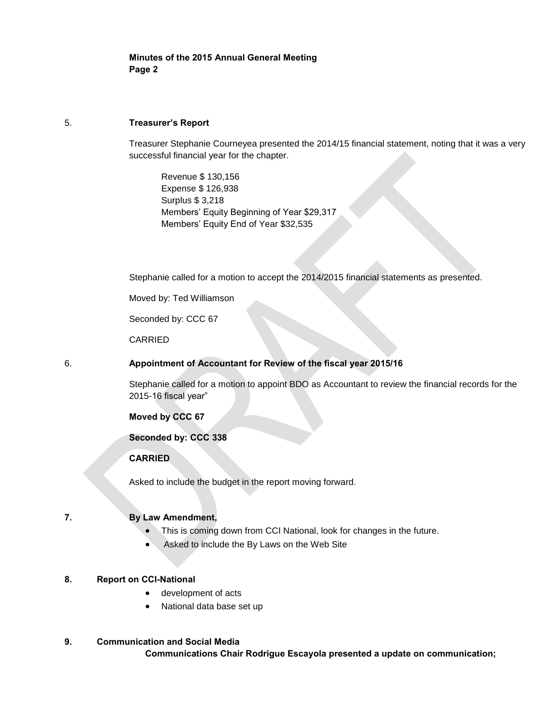**Minutes of the 2015 Annual General Meeting Page 2**

#### 5. **Treasurer's Report**

Treasurer Stephanie Courneyea presented the 2014/15 financial statement, noting that it was a very successful financial year for the chapter.

Revenue \$ 130,156 Expense \$ 126,938 Surplus \$ 3,218 Members' Equity Beginning of Year \$29,317 Members' Equity End of Year \$32,535

Stephanie called for a motion to accept the 2014/2015 financial statements as presented.

Moved by: Ted Williamson

Seconded by: CCC 67

CARRIED

#### 6. **Appointment of Accountant for Review of the fiscal year 2015/16**

Stephanie called for a motion to appoint BDO as Accountant to review the financial records for the 2015-16 fiscal year"

**Moved by CCC 67**

#### **Seconded by: CCC 338**

## **CARRIED**

Asked to include the budget in the report moving forward.

## **7. By Law Amendment,**

- This is coming down from CCI National, look for changes in the future.
- Asked to include the By Laws on the Web Site

#### **8. Report on CCI-National**

- development of acts
- National data base set up

## **9. Communication and Social Media**

**Communications Chair Rodrigue Escayola presented a update on communication;**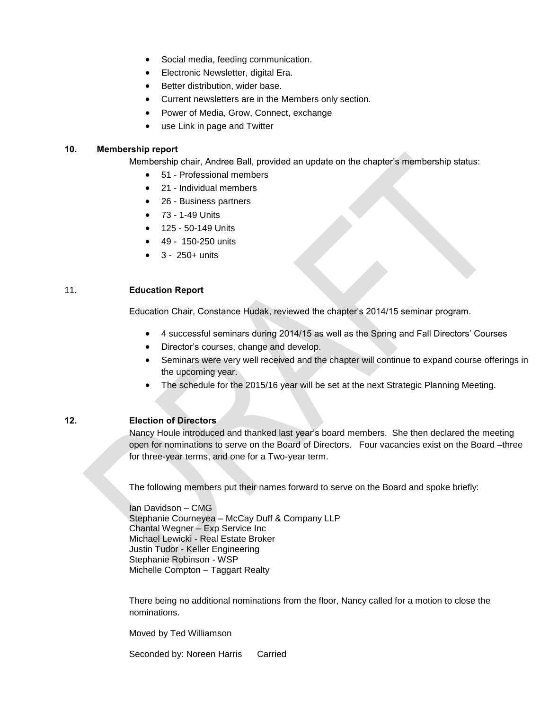- Social media, feeding communication.
- **•** Electronic Newsletter, digital Era.
- Better distribution, wider base.
- Current newsletters are in the Members only section.
- Power of Media, Grow, Connect, exchange
- use Link in page and Twitter

## **10. Membership report**

Membership chair, Andree Ball, provided an update on the chapter's membership status:

- 51 Professional members
- 21 Individual members
- 26 Business partners
- 73 1-49 Units
- 125 50-149 Units
- 49 150-250 units
- 3 250+ units

## 11. **Education Report**

Education Chair, Constance Hudak, reviewed the chapter's 2014/15 seminar program.

- 4 successful seminars during 2014/15 as well as the Spring and Fall Directors' Courses
- Director's courses, change and develop.
- Seminars were very well received and the chapter will continue to expand course offerings in the upcoming year.
- The schedule for the 2015/16 year will be set at the next Strategic Planning Meeting.

## **12. Election of Directors**

Nancy Houle introduced and thanked last year's board members. She then declared the meeting open for nominations to serve on the Board of Directors. Four vacancies exist on the Board –three for three-year terms, and one for a Two-year term.

The following members put their names forward to serve on the Board and spoke briefly:

Ian Davidson – CMG Stephanie Courneyea – McCay Duff & Company LLP Chantal Wegner – Exp Service Inc Michael Lewicki - Real Estate Broker Justin Tudor - Keller Engineering Stephanie Robinson - WSP Michelle Compton – Taggart Realty

There being no additional nominations from the floor, Nancy called for a motion to close the nominations.

Moved by Ted Williamson

Seconded by: Noreen Harris Carried